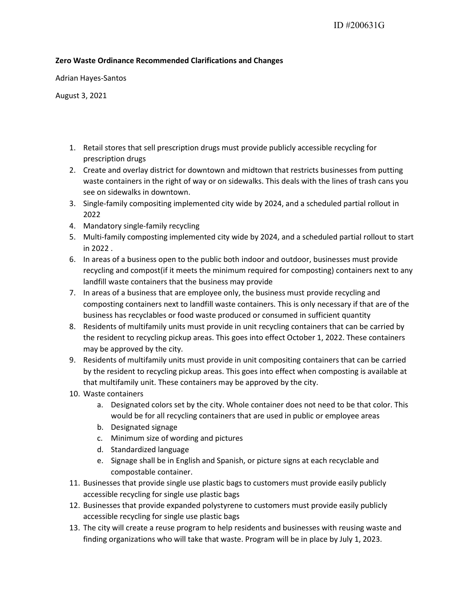## Zero Waste Ordinance Recommended Clarifications and Changes

Adrian Hayes-Santos

August 3, 2021

- 1. Retail stores that sell prescription drugs must provide publicly accessible recycling for prescription drugs
- 2. Create and overlay district for downtown and midtown that restricts businesses from putting waste containers in the right of way or on sidewalks. This deals with the lines of trash cans you see on sidewalks in downtown.
- 3. Single-family compositing implemented city wide by 2024, and a scheduled partial rollout in 2022
- 4. Mandatory single-family recycling
- 5. Multi-family composting implemented city wide by 2024, and a scheduled partial rollout to start in 2022 .
- 6. In areas of a business open to the public both indoor and outdoor, businesses must provide recycling and compost(if it meets the minimum required for composting) containers next to any landfill waste containers that the business may provide
- 7. In areas of a business that are employee only, the business must provide recycling and composting containers next to landfill waste containers. This is only necessary if that are of the business has recyclables or food waste produced or consumed in sufficient quantity
- 8. Residents of multifamily units must provide in unit recycling containers that can be carried by the resident to recycling pickup areas. This goes into effect October 1, 2022. These containers may be approved by the city.
- 9. Residents of multifamily units must provide in unit compositing containers that can be carried by the resident to recycling pickup areas. This goes into effect when composting is available at that multifamily unit. These containers may be approved by the city.
- 10. Waste containers
	- a. Designated colors set by the city. Whole container does not need to be that color. This would be for all recycling containers that are used in public or employee areas
	- b. Designated signage
	- c. Minimum size of wording and pictures
	- d. Standardized language
	- e. Signage shall be in English and Spanish, or picture signs at each recyclable and compostable container.
- 11. Businesses that provide single use plastic bags to customers must provide easily publicly accessible recycling for single use plastic bags
- 12. Businesses that provide expanded polystyrene to customers must provide easily publicly accessible recycling for single use plastic bags
- 13. The city will create a reuse program to help residents and businesses with reusing waste and finding organizations who will take that waste. Program will be in place by July 1, 2023.